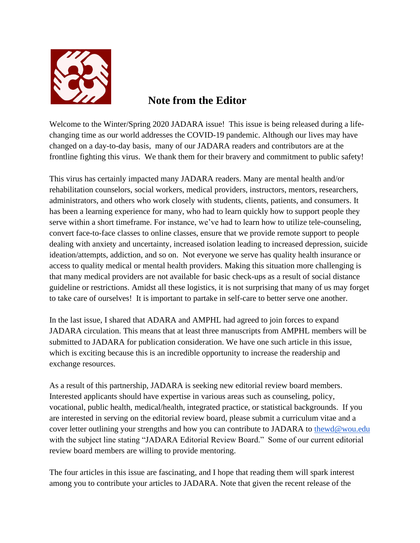

## **Note from the Editor**

Welcome to the Winter/Spring 2020 JADARA issue! This issue is being released during a lifechanging time as our world addresses the COVID-19 pandemic. Although our lives may have changed on a day-to-day basis, many of our JADARA readers and contributors are at the frontline fighting this virus. We thank them for their bravery and commitment to public safety!

This virus has certainly impacted many JADARA readers. Many are mental health and/or rehabilitation counselors, social workers, medical providers, instructors, mentors, researchers, administrators, and others who work closely with students, clients, patients, and consumers. It has been a learning experience for many, who had to learn quickly how to support people they serve within a short timeframe. For instance, we've had to learn how to utilize tele-counseling, convert face-to-face classes to online classes, ensure that we provide remote support to people dealing with anxiety and uncertainty, increased isolation leading to increased depression, suicide ideation/attempts, addiction, and so on. Not everyone we serve has quality health insurance or access to quality medical or mental health providers. Making this situation more challenging is that many medical providers are not available for basic check-ups as a result of social distance guideline or restrictions. Amidst all these logistics, it is not surprising that many of us may forget to take care of ourselves! It is important to partake in self-care to better serve one another.

In the last issue, I shared that ADARA and AMPHL had agreed to join forces to expand JADARA circulation. This means that at least three manuscripts from AMPHL members will be submitted to JADARA for publication consideration. We have one such article in this issue, which is exciting because this is an incredible opportunity to increase the readership and exchange resources.

As a result of this partnership, JADARA is seeking new editorial review board members. Interested applicants should have expertise in various areas such as counseling, policy, vocational, public health, medical/health, integrated practice, or statistical backgrounds. If you are interested in serving on the editorial review board, please submit a curriculum vitae and a cover letter outlining your strengths and how you can contribute to JADARA to [thewd@wou.edu](mailto:thewd@wou.edu) with the subject line stating "JADARA Editorial Review Board." Some of our current editorial review board members are willing to provide mentoring.

The four articles in this issue are fascinating, and I hope that reading them will spark interest among you to contribute your articles to JADARA. Note that given the recent release of the